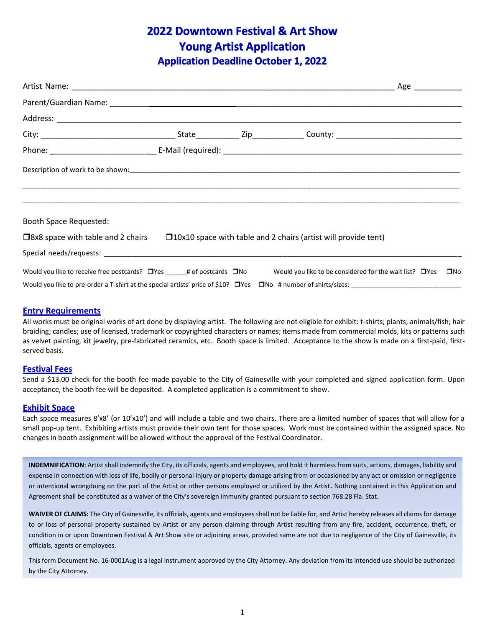# **2022 Downtown Festival & Art Show Young Artist Application Application Deadline October 1, 2022**

| Booth Space Requested:                                                               |  |                                                                       |              |
|--------------------------------------------------------------------------------------|--|-----------------------------------------------------------------------|--------------|
| $\square$ 8x8 space with table and 2 chairs                                          |  | $\Box$ 10x10 space with table and 2 chairs (artist will provide tent) |              |
|                                                                                      |  |                                                                       |              |
| Would you like to receive free postcards? $\Box$ Yes ______ # of postcards $\Box$ No |  | Would you like to be considered for the wait list? $\Box$ Yes         | $\square$ No |

#### **Entry Requirements**

All works must be original works of art done by displaying artist. The following are not eligible for exhibit: t-shirts; plants; animals/fish; hair braiding; candles; use of licensed, trademark or copyrighted characters or names; items made from commercial molds, kits or patterns such as velvet painting, kit jewelry, pre-fabricated ceramics, etc. Booth space is limited. Acceptance to the show is made on a first-paid, firstserved basis.

#### **Festival Fees**

Send a \$13.00 check for the booth fee made payable to the City of Gainesville with your completed and signed application form. Upon acceptance, the booth fee will be deposited. A completed application is a commitment to show.

#### **Exhibit Space**

Each space measures 8'x8' (or 10'x10') and will include a table and two chairs. There are a limited number of spaces that will allow for a small pop-up tent. Exhibiting artists must provide their own tent for those spaces. Work must be contained within the assigned space. No changes in booth assignment will be allowed without the approval of the Festival Coordinator.

**INDEMNIFICATION**: Artist shall indemnify the City, its officials, agents and employees, and hold it harmless from suits, actions, damages, liability and expense in connection with loss of life, bodily or personal injury or property damage arising from or occasioned by any act or omission or negligence or intentional wrongdoing on the part of the Artist or other persons employed or utilized by the Artist**.** Nothing contained in this Application and Agreement shall be constituted as a waiver of the City's sovereign immunity granted pursuant to section 768.28 Fla. Stat.

WAIVER OF CLAIMS: The City of Gainesville, its officials, agents and employees shall not be liable for, and Artist hereby releases all claims for damage to or loss of personal property sustained by Artist or any person claiming through Artist resulting from any fire, accident, occurrence, theft, or condition in or upon Downtown Festival & Art Show site or adjoining areas, provided same are not due to negligence of the City of Gainesville, its officials, agents or employees.

This form Document No. 16-0001Aug is a legal instrument approved by the City Attorney. Any deviation from its intended use should be authorized by the City Attorney.